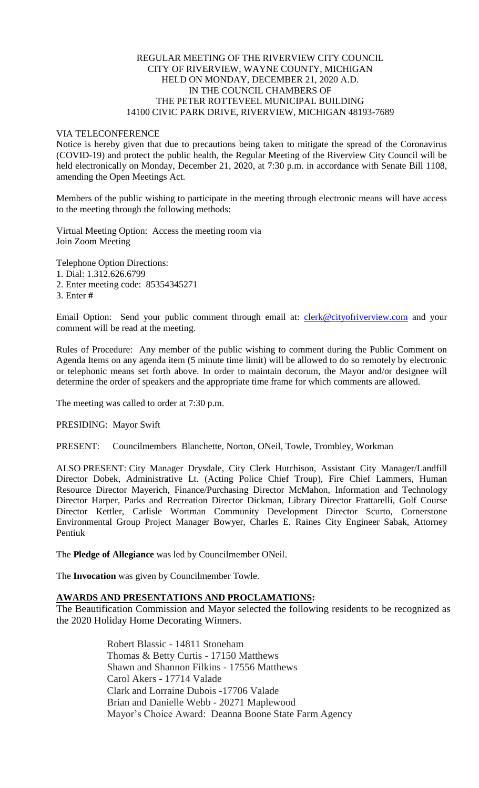## REGULAR MEETING OF THE RIVERVIEW CITY COUNCIL CITY OF RIVERVIEW, WAYNE COUNTY, MICHIGAN HELD ON MONDAY, DECEMBER 21, 2020 A.D. IN THE COUNCIL CHAMBERS OF THE PETER ROTTEVEEL MUNICIPAL BUILDING 14100 CIVIC PARK DRIVE, RIVERVIEW, MICHIGAN 48193-7689

### VIA TELECONFERENCE

Notice is hereby given that due to precautions being taken to mitigate the spread of the Coronavirus (COVID-19) and protect the public health, the Regular Meeting of the Riverview City Council will be held electronically on Monday, December 21, 2020, at 7:30 p.m. in accordance with Senate Bill 1108, amending the Open Meetings Act.

Members of the public wishing to participate in the meeting through electronic means will have access to the meeting through the following methods:

Virtual Meeting Option: Access the meeting room via Join Zoom Meeting

Telephone Option Directions:

1. Dial: 1.312.626.6799

2. Enter meeting code: 85354345271

3. Enter **#**

Email Option: Send your public comment through email at: [clerk@cityofriverview.com](mailto:clerk@cityofriverview.com) and your comment will be read at the meeting.

Rules of Procedure: Any member of the public wishing to comment during the Public Comment on Agenda Items on any agenda item (5 minute time limit) will be allowed to do so remotely by electronic or telephonic means set forth above. In order to maintain decorum, the Mayor and/or designee will determine the order of speakers and the appropriate time frame for which comments are allowed.

The meeting was called to order at 7:30 p.m.

PRESIDING: Mayor Swift

PRESENT: Councilmembers Blanchette, Norton, ONeil, Towle, Trombley, Workman

ALSO PRESENT: City Manager Drysdale, City Clerk Hutchison, Assistant City Manager/Landfill Director Dobek, Administrative Lt. (Acting Police Chief Troup), Fire Chief Lammers, Human Resource Director Mayerich, Finance/Purchasing Director McMahon, Information and Technology Director Harper, Parks and Recreation Director Dickman, Library Director Frattarelli, Golf Course Director Kettler, Carlisle Wortman Community Development Director Scurto, Cornerstone Environmental Group Project Manager Bowyer, Charles E. Raines City Engineer Sabak, Attorney Pentiuk

The **Pledge of Allegiance** was led by Councilmember ONeil.

The **Invocation** was given by Councilmember Towle.

# **AWARDS AND PRESENTATIONS AND PROCLAMATIONS:**

The Beautification Commission and Mayor selected the following residents to be recognized as the 2020 Holiday Home Decorating Winners.

> Robert Blassic - 14811 Stoneham Thomas & Betty Curtis - 17150 Matthews Shawn and Shannon Filkins - 17556 Matthews Carol Akers - 17714 Valade Clark and Lorraine Dubois -17706 Valade Brian and Danielle Webb - 20271 Maplewood Mayor's Choice Award: Deanna Boone State Farm Agency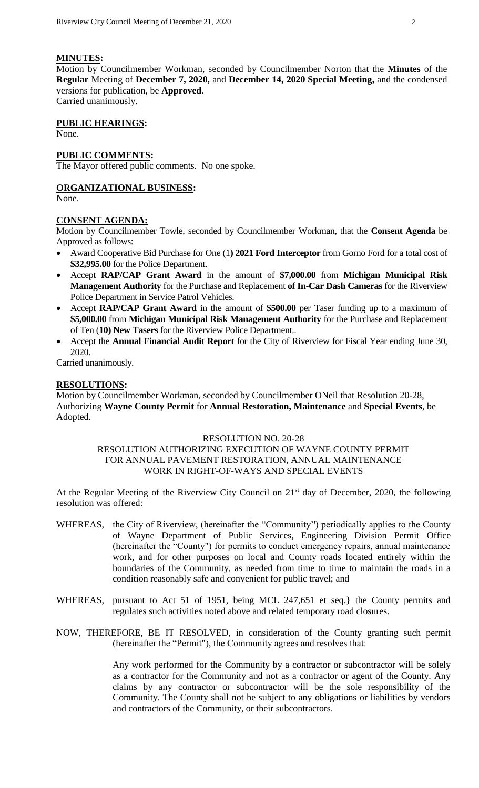# **MINUTES:**

Motion by Councilmember Workman, seconded by Councilmember Norton that the **Minutes** of the **Regular** Meeting of **December 7, 2020,** and **December 14, 2020 Special Meeting,** and the condensed versions for publication, be **Approved**. Carried unanimously.

# **PUBLIC HEARINGS:**

None.

#### **PUBLIC COMMENTS:**

The Mayor offered public comments. No one spoke.

# **ORGANIZATIONAL BUSINESS:**

None.

#### **CONSENT AGENDA:**

Motion by Councilmember Towle, seconded by Councilmember Workman, that the **Consent Agenda** be Approved as follows:

- Award Cooperative Bid Purchase for One (1**) 2021 Ford Interceptor** from Gorno Ford for a total cost of **\$32,995.00** for the Police Department.
- Accept **RAP/CAP Grant Award** in the amount of **\$7,000.00** from **Michigan Municipal Risk Management Authority** for the Purchase and Replacement **of In-Car Dash Cameras** for the Riverview Police Department in Service Patrol Vehicles.
- Accept **RAP/CAP Grant Award** in the amount of **\$500.00** per Taser funding up to a maximum of **\$5,000.00** from **Michigan Municipal Risk Management Authority** for the Purchase and Replacement of Ten (**10) New Tasers** for the Riverview Police Department..
- Accept the **Annual Financial Audit Report** for the City of Riverview for Fiscal Year ending June 30, 2020.

Carried unanimously.

#### **RESOLUTIONS:**

Motion by Councilmember Workman, seconded by Councilmember ONeil that Resolution 20-28, Authorizing **Wayne County Permit** for **Annual Restoration, Maintenance** and **Special Events**, be Adopted.

#### RESOLUTION NO. 20-28

#### RESOLUTION AUTHORIZING EXECUTION OF WAYNE COUNTY PERMIT FOR ANNUAL PAVEMENT RESTORATION, ANNUAL MAINTENANCE WORK IN RIGHT-OF-WAYS AND SPECIAL EVENTS

At the Regular Meeting of the Riverview City Council on 21<sup>st</sup> day of December, 2020, the following resolution was offered:

- WHEREAS, the City of Riverview, (hereinafter the "Community'') periodically applies to the County of Wayne Department of Public Services, Engineering Division Permit Office (hereinafter the "County") for permits to conduct emergency repairs, annual maintenance work, and for other purposes on local and County roads located entirely within the boundaries of the Community, as needed from time to time to maintain the roads in a condition reasonably safe and convenient for public travel; and
- WHEREAS, pursuant to Act 51 of 1951, being MCL 247,651 et seq.} the County permits and regulates such activities noted above and related temporary road closures.

#### NOW, THEREFORE, BE IT RESOLVED, in consideration of the County granting such permit (hereinafter the "Permit"), the Community agrees and resolves that:

Any work performed for the Community by a contractor or subcontractor will be solely as a contractor for the Community and not as a contractor or agent of the County. Any claims by any contractor or subcontractor will be the sole responsibility of the Community. The County shall not be subject to any obligations or liabilities by vendors and contractors of the Community, or their subcontractors.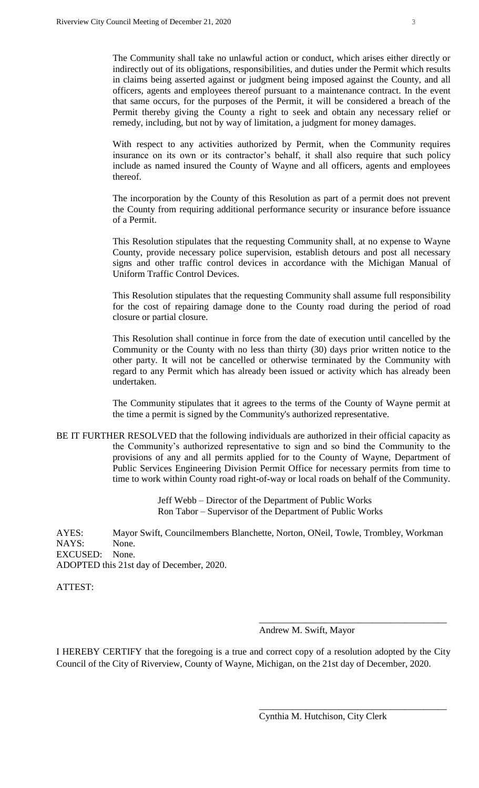The Community shall take no unlawful action or conduct, which arises either directly or indirectly out of its obligations, responsibilities, and duties under the Permit which results in claims being asserted against or judgment being imposed against the County, and all officers, agents and employees thereof pursuant to a maintenance contract. In the event that same occurs, for the purposes of the Permit, it will be considered a breach of the Permit thereby giving the County a right to seek and obtain any necessary relief or remedy, including, but not by way of limitation, a judgment for money damages.

With respect to any activities authorized by Permit, when the Community requires insurance on its own or its contractor's behalf, it shall also require that such policy include as named insured the County of Wayne and all officers, agents and employees thereof.

The incorporation by the County of this Resolution as part of a permit does not prevent the County from requiring additional performance security or insurance before issuance of a Permit.

This Resolution stipulates that the requesting Community shall, at no expense to Wayne County, provide necessary police supervision, establish detours and post all necessary signs and other traffic control devices in accordance with the Michigan Manual of Uniform Traffic Control Devices.

This Resolution stipulates that the requesting Community shall assume full responsibility for the cost of repairing damage done to the County road during the period of road closure or partial closure.

This Resolution shall continue in force from the date of execution until cancelled by the Community or the County with no less than thirty (30) days prior written notice to the other party. It will not be cancelled or otherwise terminated by the Community with regard to any Permit which has already been issued or activity which has already been undertaken.

The Community stipulates that it agrees to the terms of the County of Wayne permit at the time a permit is signed by the Community's authorized representative.

BE IT FURTHER RESOLVED that the following individuals are authorized in their official capacity as the Community's authorized representative to sign and so bind the Community to the provisions of any and all permits applied for to the County of Wayne, Department of Public Services Engineering Division Permit Office for necessary permits from time to time to work within County road right-of-way or local roads on behalf of the Community.

> Jeff Webb – Director of the Department of Public Works Ron Tabor – Supervisor of the Department of Public Works

AYES: Mayor Swift, Councilmembers Blanchette, Norton, ONeil, Towle, Trombley, Workman NAYS: None. EXCUSED: None. ADOPTED this 21st day of December, 2020.

ATTEST:

Andrew M. Swift, Mayor

\_\_\_\_\_\_\_\_\_\_\_\_\_\_\_\_\_\_\_\_\_\_\_\_\_\_\_\_\_\_\_\_\_\_\_\_\_\_\_\_

\_\_\_\_\_\_\_\_\_\_\_\_\_\_\_\_\_\_\_\_\_\_\_\_\_\_\_\_\_\_\_\_\_\_\_\_\_\_\_\_

I HEREBY CERTIFY that the foregoing is a true and correct copy of a resolution adopted by the City Council of the City of Riverview, County of Wayne, Michigan, on the 21st day of December, 2020.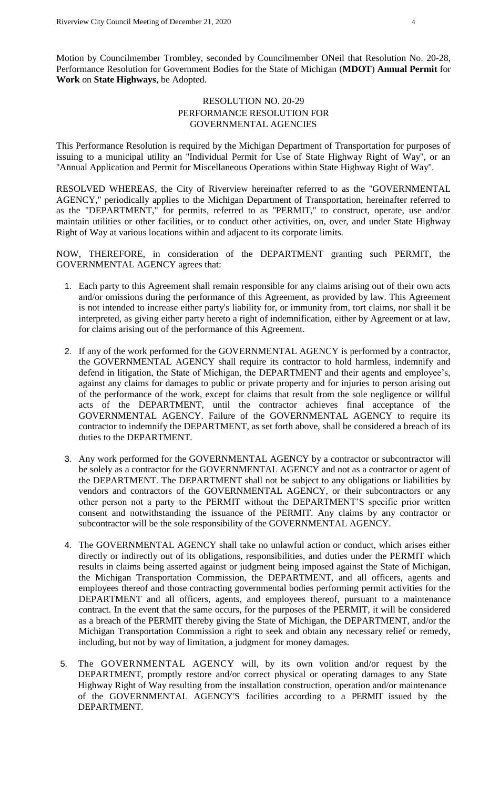Motion by Councilmember Trombley, seconded by Councilmember ONeil that Resolution No. 20-28, Performance Resolution for Government Bodies for the State of Michigan (**MDOT**) **Annual Permit** for **Work** on **State Highways**, be Adopted.

# RESOLUTION NO. 20-29 PERFORMANCE RESOLUTION FOR GOVERNMENTAL AGENCIES

This Performance Resolution is required by the Michigan Department of Transportation for purposes of issuing to a municipal utility an ''Individual Permit for Use of State Highway Right of Way'', or an ''Annual Application and Permit for Miscellaneous Operations within State Highway Right of Way''.

RESOLVED WHEREAS, the City of Riverview hereinafter referred to as the ''GOVERNMENTAL AGENCY,'' periodically applies to the Michigan Department of Transportation, hereinafter referred to as the "DEPARTMENT," for permits, referred to as ''PERMIT,'' to construct, operate, use and/or maintain utilities or other facilities, or to conduct other activities, on, over, and under State Highway Right of Way at various locations within and adjacent to its corporate limits.

NOW, THEREFORE, in consideration of the DEPARTMENT granting such PERMIT, the GOVERNMENTAL AGENCY agrees that:

- 1. Each party to this Agreement shall remain responsible for any claims arising out of their own acts and/or omissions during the performance of this Agreement, as provided by law. This Agreement is not intended to increase either party's liability for, or immunity from, tort claims, nor shall it be interpreted, as giving either party hereto a right of indemnification, either by Agreement or at law, for claims arising out of the performance of this Agreement.
- 2. If any of the work performed for the GOVERNMENTAL AGENCY is performed by a contractor, the GOVERNMENTAL AGENCY shall require its contractor to hold harmless, indemnify and defend in litigation, the State of Michigan, the DEPARTMENT and their agents and employee's, against any claims for damages to public or private property and for injuries to person arising out of the performance of the work, except for claims that result from the sole negligence or willful acts of the DEPARTMENT, until the contractor achieves final acceptance of the GOVERNMENTAL AGENCY. Failure of the GOVERNMENTAL AGENCY to require its contractor to indemnify the DEPARTMENT, as set forth above, shall be considered a breach of its duties to the DEPARTMENT.
- 3. Any work performed for the GOVERNMENTAL AGENCY by a contractor or subcontractor will be solely as a contractor for the GOVERNMENTAL AGENCY and not as a contractor or agent of the DEPARTMENT. The DEPARTMENT shall not be subject to any obligations or liabilities by vendors and contractors of the GOVERNMENTAL AGENCY, or their subcontractors or any other person not a party to the PERMIT without the DEPARTMENT'S specific prior written consent and notwithstanding the issuance of the PERMIT. Any claims by any contractor or subcontractor will be the sole responsibility of the GOVERNMENTAL AGENCY.
- 4. The GOVERNMENTAL AGENCY shall take no unlawful action or conduct, which arises either directly or indirectly out of its obligations, responsibilities, and duties under the PERMIT which results in claims being asserted against or judgment being imposed against the State of Michigan, the Michigan Transportation Commission, the DEPARTMENT, and all officers, agents and employees thereof and those contracting governmental bodies performing permit activities for the DEPARTMENT and all officers, agents, and employees thereof, pursuant to a maintenance contract. In the event that the same occurs, for the purposes of the PERMIT, it will be considered as a breach of the PERMIT thereby giving the State of Michigan, the DEPARTMENT, and/or the Michigan Transportation Commission a right to seek and obtain any necessary relief or remedy, including, but not by way of limitation, a judgment for money damages.
- 5. The GOVERNMENTAL AGENCY will, by its own volition and/or request by the DEPARTMENT, promptly restore and/or correct physical or operating damages to any State Highway Right of Way resulting from the installation construction, operation and/or maintenance of the GOVERNMENTAL AGENCY'S facilities according to a PERMIT issued by the DEPARTMENT.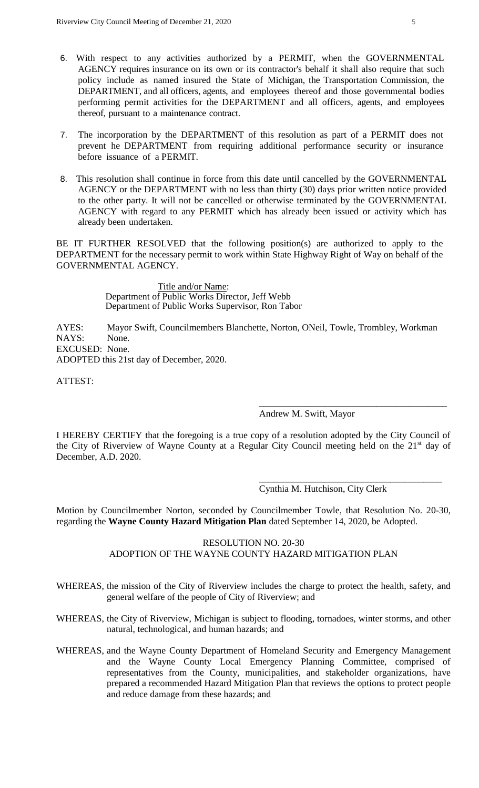- 6. With respect to any activities authorized by a PERMIT, when the GOVERNMENTAL AGENCY requires insurance on its own or its contractor's behalf it shall also require that such policy include as named insured the State of Michigan, the Transportation Commission, the DEPARTMENT, and all officers, agents, and employees thereof and those governmental bodies performing permit activities for the DEPARTMENT and all officers, agents, and employees thereof, pursuant to a maintenance contract.
- 7. The incorporation by the DEPARTMENT of this resolution as part of a PERMIT does not prevent he DEPARTMENT from requiring additional performance security or insurance before issuance of a PERMIT.
- 8. This resolution shall continue in force from this date until cancelled by the GOVERNMENTAL AGENCY or the DEPARTMENT with no less than thirty (30) days prior written notice provided to the other party. It will not be cancelled or otherwise terminated by the GOVERNMENTAL AGENCY with regard to any PERMIT which has already been issued or activity which has already been undertaken.

BE IT FURTHER RESOLVED that the following position(s) are authorized to apply to the DEPARTMENT for the necessary permit to work within State Highway Right of Way on behalf of the GOVERNMENTAL AGENCY.

> Title and/or Name: Department of Public Works Director, Jeff Webb Department of Public Works Supervisor, Ron Tabor

AYES: Mayor Swift, Councilmembers Blanchette, Norton, ONeil, Towle, Trombley, Workman NAYS: None. EXCUSED: None. ADOPTED this 21st day of December, 2020.

ATTEST:

Andrew M. Swift, Mayor

I HEREBY CERTIFY that the foregoing is a true copy of a resolution adopted by the City Council of the City of Riverview of Wayne County at a Regular City Council meeting held on the 21st day of December, A.D. 2020.

Cynthia M. Hutchison, City Clerk

\_\_\_\_\_\_\_\_\_\_\_\_\_\_\_\_\_\_\_\_\_\_\_\_\_\_\_\_\_\_\_\_\_\_\_\_\_\_\_\_

\_\_\_\_\_\_\_\_\_\_\_\_\_\_\_\_\_\_\_\_\_\_\_\_\_\_\_\_\_\_\_\_\_\_\_\_\_\_\_

Motion by Councilmember Norton, seconded by Councilmember Towle, that Resolution No. 20-30, regarding the **Wayne County Hazard Mitigation Plan** dated September 14, 2020, be Adopted.

# RESOLUTION NO. 20-30 ADOPTION OF THE WAYNE COUNTY HAZARD MITIGATION PLAN

- WHEREAS, the mission of the City of Riverview includes the charge to protect the health, safety, and general welfare of the people of City of Riverview; and
- WHEREAS, the City of Riverview, Michigan is subject to flooding, tornadoes, winter storms, and other natural, technological, and human hazards; and
- WHEREAS, and the Wayne County Department of Homeland Security and Emergency Management and the Wayne County Local Emergency Planning Committee, comprised of representatives from the County, municipalities, and stakeholder organizations, have prepared a recommended Hazard Mitigation Plan that reviews the options to protect people and reduce damage from these hazards; and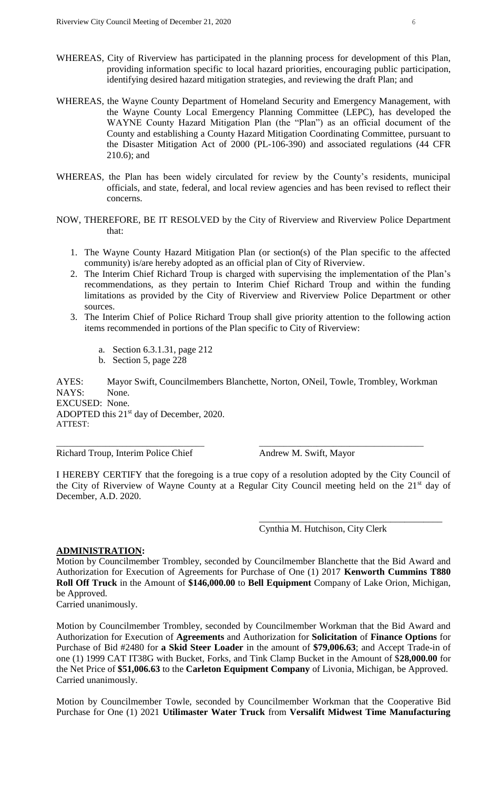- WHEREAS, City of Riverview has participated in the planning process for development of this Plan, providing information specific to local hazard priorities, encouraging public participation, identifying desired hazard mitigation strategies, and reviewing the draft Plan; and
- WHEREAS, the Wayne County Department of Homeland Security and Emergency Management, with the Wayne County Local Emergency Planning Committee (LEPC), has developed the WAYNE County Hazard Mitigation Plan (the "Plan") as an official document of the County and establishing a County Hazard Mitigation Coordinating Committee, pursuant to the Disaster Mitigation Act of 2000 (PL-106-390) and associated regulations (44 CFR 210.6); and
- WHEREAS, the Plan has been widely circulated for review by the County's residents, municipal officials, and state, federal, and local review agencies and has been revised to reflect their concerns.
- NOW, THEREFORE, BE IT RESOLVED by the City of Riverview and Riverview Police Department that:
	- 1. The Wayne County Hazard Mitigation Plan (or section(s) of the Plan specific to the affected community) is/are hereby adopted as an official plan of City of Riverview.
	- 2. The Interim Chief Richard Troup is charged with supervising the implementation of the Plan's recommendations, as they pertain to Interim Chief Richard Troup and within the funding limitations as provided by the City of Riverview and Riverview Police Department or other sources.
	- 3. The Interim Chief of Police Richard Troup shall give priority attention to the following action items recommended in portions of the Plan specific to City of Riverview:
		- a. Section 6.3.1.31, page 212
		- b. Section 5, page 228

AYES: Mayor Swift, Councilmembers Blanchette, Norton, ONeil, Towle, Trombley, Workman NAYS: None. EXCUSED: None. ADOPTED this 21<sup>st</sup> day of December, 2020. ATTEST:

\_\_\_\_\_\_\_\_\_\_\_\_\_\_\_\_\_\_\_\_\_\_\_\_\_\_\_\_\_\_\_\_\_\_\_\_ \_\_\_\_\_\_\_\_\_\_\_\_\_\_\_\_\_\_\_\_\_\_\_\_\_\_\_\_\_\_\_\_\_\_\_\_\_\_\_\_

Richard Troup, Interim Police Chief Andrew M. Swift, Mayor

I HEREBY CERTIFY that the foregoing is a true copy of a resolution adopted by the City Council of the City of Riverview of Wayne County at a Regular City Council meeting held on the 21st day of December, A.D. 2020.

Cynthia M. Hutchison, City Clerk

\_\_\_\_\_\_\_\_\_\_\_\_\_\_\_\_\_\_\_\_\_\_\_\_\_\_\_\_\_\_\_\_\_\_\_\_\_\_\_

#### **ADMINISTRATION:**

Motion by Councilmember Trombley, seconded by Councilmember Blanchette that the Bid Award and Authorization for Execution of Agreements for Purchase of One (1) 2017 **Kenworth Cummins T880 Roll Off Truck** in the Amount of **\$146,000.00** to **Bell Equipment** Company of Lake Orion, Michigan, be Approved.

Carried unanimously.

Motion by Councilmember Trombley, seconded by Councilmember Workman that the Bid Award and Authorization for Execution of **Agreements** and Authorization for **Solicitation** of **Finance Options** for Purchase of Bid #2480 for **a Skid Steer Loader** in the amount of **\$79,006.63**; and Accept Trade-in of one (1) 1999 CAT IT38G with Bucket, Forks, and Tink Clamp Bucket in the Amount of \$**28,000.00** for the Net Price of **\$51,006.63** to the **Carleton Equipment Company** of Livonia, Michigan, be Approved. Carried unanimously.

Motion by Councilmember Towle, seconded by Councilmember Workman that the Cooperative Bid Purchase for One (1) 2021 **Utilimaster Water Truck** from **Versalift Midwest Time Manufacturing**